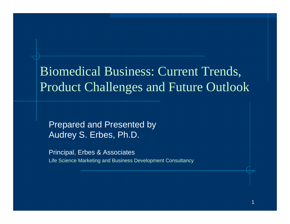Biomedical Business: Current Trends, Product Challenges and Future Outlook

Prepared and Presented by Audrey S. Erbes, Ph.D.

Principal, Erbes & Associates Life Science Marketing and Business Development Consultancy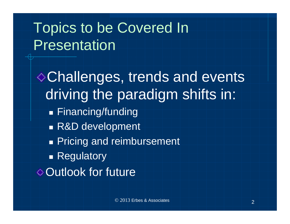## Topics to be Covered In Presentation

Challenges, trends and events driving the paradigm shifts in: ■ Financing/funding ■ R&D development **Pricing and reimbursement** ■ Regulatory **♦ Outlook for future**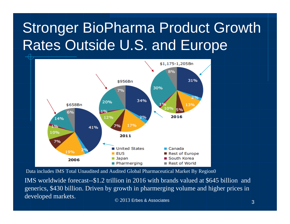## Stronger BioPharma Product Growth Rates Outside U.S. and Europe



Data includes IMS Total Unaudited and Audited Global Pharmaceutical Market By Region0

 $\sim$  3  $\sim$  3  $\sim$  3  $\sim$  3 IMS worldwide forecast--\$1.2 trillion in 2016 with brands valued at \$645 billion and generics, \$430 billion. Driven by growth in pharmerging volume and higher prices in developed markets.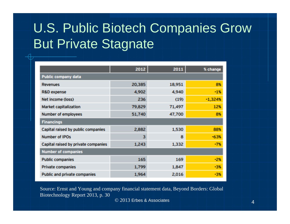#### U.S. Public Biotech Companies Grow But Private Stagnate

|                                     | 2012   | 2011   | % change  |
|-------------------------------------|--------|--------|-----------|
| Public company data                 |        |        |           |
| <b>Revenues</b>                     | 20,385 | 18,951 | 8%        |
| R&D expense                         | 4,902  | 4,940  | $-1%$     |
| Net income (loss)                   | 236    | (19)   | $-1,324%$ |
| Market capitalization               | 79,829 | 71,497 | 12%       |
| Number of employees                 | 51,740 | 47,700 | 8%        |
| <b>Financings</b>                   |        |        |           |
| Capital raised by public companies  | 2,882  | 1,530  | 88%       |
| Number of IPOs                      | 3      | a      | $-63%$    |
| Capital raised by private companies | 1,243  | 1,332  | $-7%$     |
| <b>Number of companies</b>          |        |        |           |
| <b>Public companies</b>             | 165    | 169    | $-2%$     |
| <b>Private companies</b>            | 1,799  | 1,847  | $-3%$     |
| Public and private companies        | 1,964  | 2,016  | -3%       |

Source: Ernst and Young and company financial statement data, Beyond Borders: Global Biotechnology Report 2013, p. 30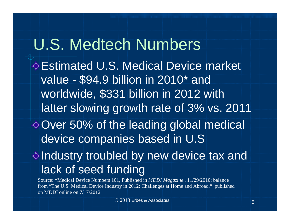# U.S. Medtech Numbers

Estimated U.S. Medical Device market value - \$94.9 billion in 2010\* and worldwide, \$331 billion in 2012 with latter slowing growth rate of 3% vs. 2011 Over 50% of the leading global medical device companies based in U.S

#### $\Diamond$  Industry troubled by new device tax and lack of seed funding

Source: \*Medical Device Numbers 101, Published in *MDDI Magazine* , 11/29/2010; balance from "The U.S. Medical Device Industry in 2012: Challenges at Home and Abroad," published on MDDI online on 7/17/2012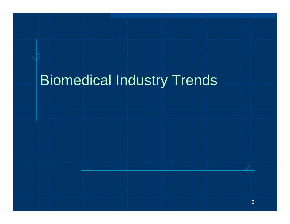## Biomedical Industry Trends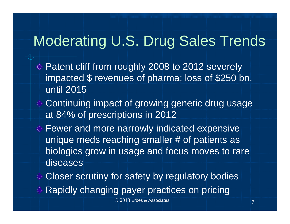#### Moderating U.S. Drug Sales Trends

- Patent cliff from roughly 2008 to 2012 severely impacted \$ revenues of pharma; loss of \$250 bn. until 2015
- Continuing impact of growing generic drug usage at 84% of prescriptions in 2012
- $\diamond$  Fewer and more narrowly indicated expensive unique meds reaching smaller # of patients as biologics grow in usage and focus moves to rare diseases

♦ Closer scrutiny for safety by regulatory bodies

Rapidly changing payer practices on pricing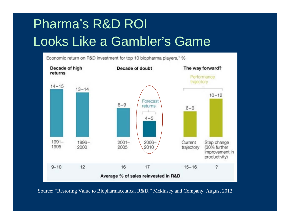#### Pharma's R&D ROI Looks Like a Gambler's Game



Source: "Restoring Value to Biopharmaceutical R&D," Mckinsey and Company, August 2012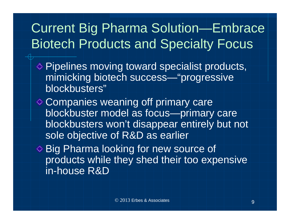#### Current Big Pharma Solution—Embrace Biotech Products and Specialty Focus

- Pipelines moving toward specialist products, mimicking biotech success—"progressive blockbusters"
- **♦ Companies weaning off primary care** blockbuster model as focus—primary care blockbusters won't disappear entirely but not sole objective of R&D as earlier
- **♦ Big Pharma looking for new source of** products while they shed their too expensive in-house R&D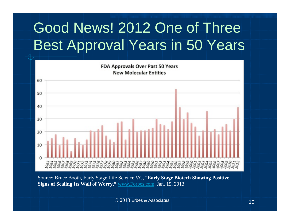## Good News! 2012 One of Three Best Approval Years in 50 Years



Source: Bruce Booth, Early Stage Life Science VC, "**Early Stage Biotech Showing Positive Signs of Scaling Its Wall of Worry," www.**Forbes.com, Jan. 15, 2013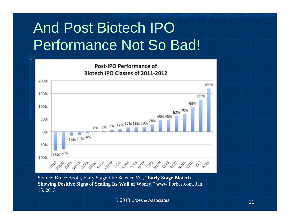## And Post Biotech IPO Performance Not So Bad!



Source: Bruce Booth, Early Stage Life Science VC, "**Early Stage Biotech Showing Positive Signs of Scaling Its Wall of Worry," www.**Forbes.com, Jan. 15, 2013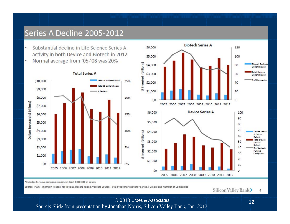#### Series A Decline 2005-2012

- Substantial decline in Life Science Series A activity in both Device and Biotech in 2012
- Normal average from '05-'08 was 20% ۰





\*Includes Series A companies raising at least \$500,000 in equity

Source: PWC +Thomson Reuters for Total LS Dollars Raised; Venture Source + SVB Proprietary Data for Series A Dollars and Number of Companies

Silicon Valley Bank> 5

© 2013 Erbes & Associates $\sim$  12

Source: Slide from presentation by Jonathan Norris, Silicon Valley Bank, Jan. 2013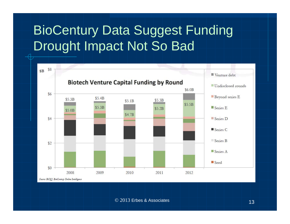#### BioCentury Data Suggest Funding Drought Impact Not So Bad

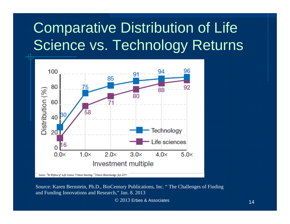## Comparative Distribution of Life Science vs. Technology Returns



Source: Karen Bernstein, Ph.D., BioCentury Publications, Inc. " The Challenges of Finding and Funding Innovations and Research," Jan. 8. 2013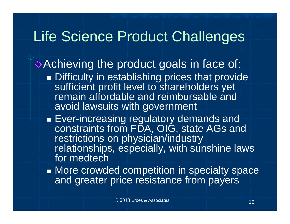#### Life Science Product Challenges

Achieving the product goals in face of:

- **Difficulty in establishing prices that provide** sufficient profit level to shareholders yet remain affordable and reimbursable and avoid lawsuits with government
- $\bullet$  Ever-increasing regulatory demands and  $\mid$ constraints from FDA, OIG, state AGs and restrictions on physician/industry relationships, especially, with sunshine laws for medtech
- More crowded competition in specialty space and greater price resistance from payers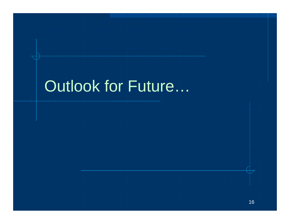# Outlook for Future…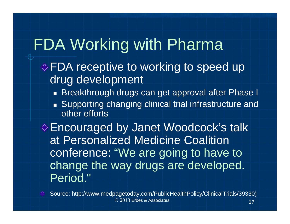## FDA Working with Pharma

- **EDA** receptive to working to speed up drug development
	- Breakthrough drugs can get approval after Phase I
	- Supporting changing clinical trial infrastructure and other efforts

Encouraged by Janet Woodcock's talk at Personalized Medicine Coalition conference: "We are going to have to change the way drugs are developed. Period."



© 2013 Erbes & Associates $\sim$  17 Source: http://www.medpagetoday.com/PublicHealthPolicy/ClinicalTrials/39330)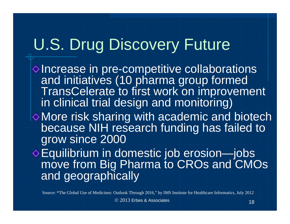## U.S. Drug Discovery Future

 $\diamond$  Increase in pre-competitive collaborations and initiatives (10 pharma group formed TransCelerate to first work on improvement in clinical trial design and monitoring) More risk sharing with academic and biotech because NIH research funding has failed to

grow since 2000

Equilibrium in domestic job erosion—jobs move from Big Pharma to CROs and CMOs and geographically

Source: \*The Global Use of Medicines: Outlook Through 2016," by IMS Institute for Healthcare Informatics, July 2012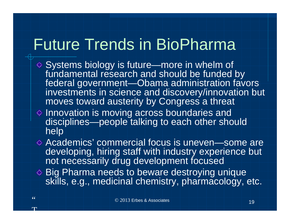#### Future Trends in BioPharma

- Systems biology is future—more in whelm of fundamental research and should be funded by federal government—Obama administration favors investments in science and discovery/innovation but moves toward austerity by Congress a threat
- $\Diamond$  Innovation is moving across boundaries and disciplines—people talking to each other should help
- Academics' commercial focus is uneven—some are developing, hiring staff with industry experience but not necessarily drug development focused
- ♦ Big Pharma needs to beware destroying unique skills, e.g., medicinal chemistry, pharmacology, etc.

a n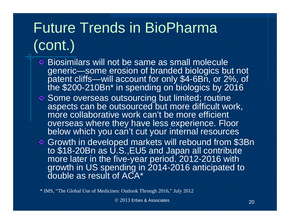## Future Trends in BioPharma (cont.)

- $\Diamond$  Biosimilars will not be same as small molecule generic—some erosion of branded biologics but not patent cliffs—will account for only \$4-6Bn, or 2%, of the \$200-210Bn\* in spending on biologics by 2016
- $\Diamond$  Some overseas outsourcing but limited; routine aspects can be outsourced but more difficult work, more collaborative work can't be more efficient overseas where they have less experience. Floor below which you can't cut your internal resources
- Growth in developed markets will rebound from \$3Bn to \$18-20Bn as U.S., EU5 and Japan all contribute more later in the five-year period. 2012-2016 with growth in US spending in 2014-2016 anticipated to double as result of ACA\*

\* IMS, "The Global Use of Medicines: Outlook Through 2016," July 2012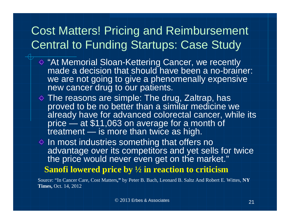#### Cost Matters! Pricing and Reimbursement Central to Funding Startups: Case Study

- "At Memorial Sloan-Kettering Cancer, we recently made a decision that should have been a no-brainer: we are not going to give a phenomenally expensive new cancer drug to our patients.
- $\diamond$  The reasons are simple: The drug, Zaltrap, has proved to be no better than a similar medicine we already have for advanced colorectal cancer, while its price — at \$11,063 on average for a month of treatment — is more than twice as high.
- $\Diamond$  In most industries something that offers no advantage over its competitors and yet sells for twice the price would never even get on the market."
	- **Sanofi lowered price by ½ in reaction to criticism**

Source: "In Cancer Care, Cost Matters**,"** by Peter B. Bach, Leonard B. Saltz And Robert E. Wittes, **NY Times,** Oct. 14, 2012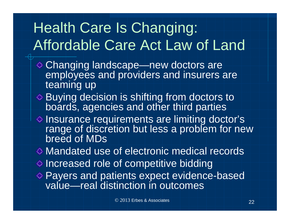## Health Care Is Changing: Affordable Care Act Law of Land

- Changing landscape—new doctors are employees and providers and insurers are teaming up
- Buying decision is shifting from doctors to boards, agencies and other third parties
- $\Diamond$  Insurance requirements are limiting doctor's range of discretion but less a problem for new breed of MDs
- Mandated use of electronic medical records $\diamond$  Increased role of competitive bidding
- Payers and patients expect evidence-based value—real distinction in outcomes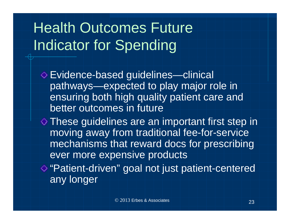## Health Outcomes Future Indicator for Spending

Evidence-based guidelines—clinical pathways—expected to play major role in ensuring both high quality patient care and better outcomes in future

 $\Diamond$  These guidelines are an important first step in moving away from traditional fee-for-service mechanisms that reward docs for prescribing ever more expensive products

**♦ "Patient-driven" goal not just patient-centered** any longer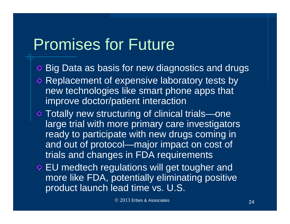## Promises for Future

- $\diamond$  Big Data as basis for new diagnostics and drugs  $\diamond$  Replacement of expensive laboratory tests by new technologies like smart phone apps that improve doctor/patient interaction
- Totally new structuring of clinical trials—one large trial with more primary care investigators ready to participate with new drugs coming in and out of protocol—major impact on cost of trials and changes in FDA requirements
- $\Diamond$  EU medtech regulations will get tougher and more like FDA, potentially eliminating positive product launch lead time vs. U.S.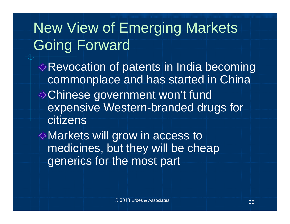### New View of Emerging Markets Going Forward

Revocation of patents in India becoming commonplace and has started in China Chinese government won't fund expensive Western-branded drugs for citizens

Markets will grow in access to medicines, but they will be cheap generics for the most part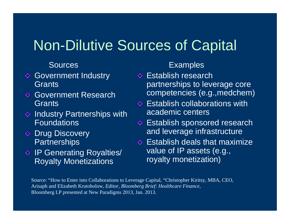#### Non-Dilutive Sources of Capital

#### **Sources**

- $\Diamond$  Government Industry Grants
- **E** Government Research **Grants**
- $\Diamond$  Industry Partnerships with Foundations
- **♦ Drug Discovery Partnerships**
- $\Diamond$  IP Generating Royalties/ Royalty Monetizations

#### **Examples**

- $\diamond$  Establish research partnerships to leverage core competencies (e.g.,medchem)
- $\Diamond$  Establish collaborations with academic centers
- Establish sponsored research ◇ and leverage infrastructure
- $\Diamond$  Establish deals that maximize value of IP assets (e.g., royalty monetization)

Source: "How to Enter into Collaborations to Leverage Capital, "Christopher Kiritsy, MBA, CEO, Arisaph and Elizabeth Krutoholow, *Editor, Bloomberg Brief: Healthcare Finance,* Bloomberg LP presented at New Paradigms 2013, Jan. 2013.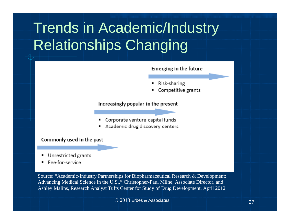## Trends in Academic/Industry Relationships Changing

#### Emerging in the future

- Risk-sharing
- Competitive grants

#### Increasingly popular in the present

- Corporate venture capital funds
- Academic drug discovery centers

#### Commonly used in the past

- Unrestricted grants
- Fee-for-service

Source: "Academic-Industry Partnerships for Biopharmaceutical Research & Development: Advancing Medical Science in the U.S.," Christopher-Paul Milne, Associate Director, and Ashley Malins, Research Analyst Tufts Center for Study of Drug Development, April 2012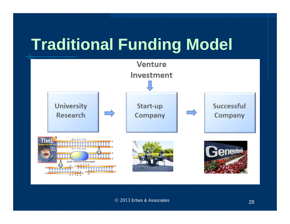# **Traditional Funding Model**

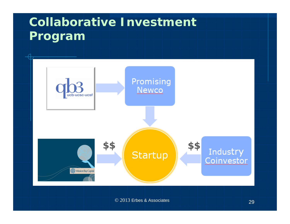#### **Collaborative Investment Program**